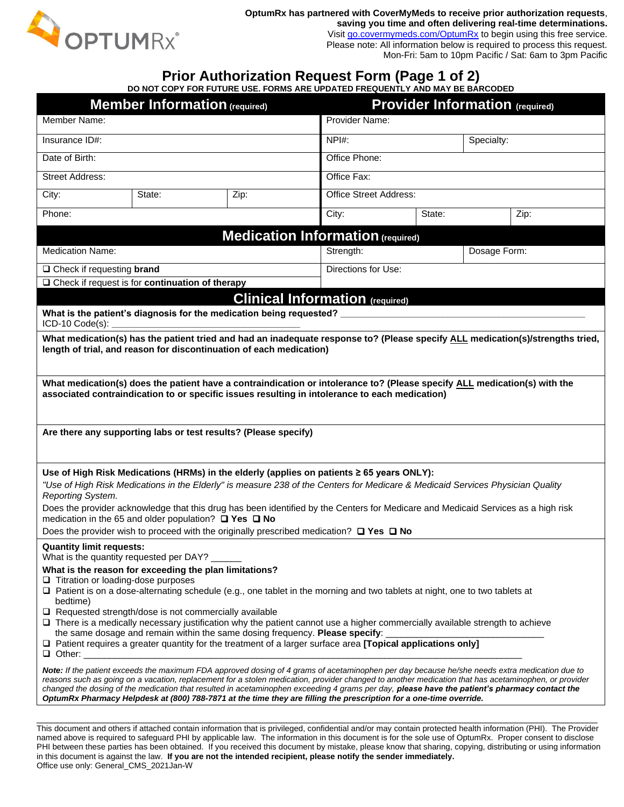

**OptumRx has partnered with CoverMyMeds to receive prior authorization requests**, **saving you time and often delivering real-time determinations.**

Visit [go.covermymeds.com/OptumRx](https://www.covermymeds.com/epa/optumrx/) to begin using this free service. Please note: All information below is required to process this request. Mon-Fri: 5am to 10pm Pacific / Sat: 6am to 3pm Pacific

## **Prior Authorization Request Form (Page 1 of 2)**

**DO NOT COPY FOR FUTURE USE. FORMS ARE UPDATED FREQUENTLY AND MAY BE BARCODED**

| <b>Member Information (required)</b>                                                                                                                                                                                                                                                                  |                                                                                                                                               |      | <b>Provider Information (required)</b> |              |  |      |
|-------------------------------------------------------------------------------------------------------------------------------------------------------------------------------------------------------------------------------------------------------------------------------------------------------|-----------------------------------------------------------------------------------------------------------------------------------------------|------|----------------------------------------|--------------|--|------|
| Member Name:                                                                                                                                                                                                                                                                                          |                                                                                                                                               |      | Provider Name:                         |              |  |      |
| Insurance ID#:                                                                                                                                                                                                                                                                                        |                                                                                                                                               |      | NPH:<br>Specialty:                     |              |  |      |
| Date of Birth:                                                                                                                                                                                                                                                                                        |                                                                                                                                               |      | Office Phone:                          |              |  |      |
| <b>Street Address:</b>                                                                                                                                                                                                                                                                                |                                                                                                                                               |      | Office Fax:                            |              |  |      |
| City:                                                                                                                                                                                                                                                                                                 | State:                                                                                                                                        | Zip: | Office Street Address:                 |              |  |      |
| Phone:                                                                                                                                                                                                                                                                                                |                                                                                                                                               |      | City:                                  | State:       |  | Zip: |
| <b>Medication Information (required)</b>                                                                                                                                                                                                                                                              |                                                                                                                                               |      |                                        |              |  |      |
| <b>Medication Name:</b>                                                                                                                                                                                                                                                                               |                                                                                                                                               |      | Strength:                              | Dosage Form: |  |      |
| □ Check if requesting brand                                                                                                                                                                                                                                                                           |                                                                                                                                               |      | Directions for Use:                    |              |  |      |
| □ Check if request is for continuation of therapy                                                                                                                                                                                                                                                     |                                                                                                                                               |      |                                        |              |  |      |
| <b>Clinical Information (required)</b><br>What is the patient's diagnosis for the medication being requested? _                                                                                                                                                                                       |                                                                                                                                               |      |                                        |              |  |      |
| ICD-10 Code(s):                                                                                                                                                                                                                                                                                       |                                                                                                                                               |      |                                        |              |  |      |
| What medication(s) has the patient tried and had an inadequate response to? (Please specify ALL medication(s)/strengths tried,<br>length of trial, and reason for discontinuation of each medication)                                                                                                 |                                                                                                                                               |      |                                        |              |  |      |
|                                                                                                                                                                                                                                                                                                       |                                                                                                                                               |      |                                        |              |  |      |
| What medication(s) does the patient have a contraindication or intolerance to? (Please specify ALL medication(s) with the                                                                                                                                                                             |                                                                                                                                               |      |                                        |              |  |      |
| associated contraindication to or specific issues resulting in intolerance to each medication)                                                                                                                                                                                                        |                                                                                                                                               |      |                                        |              |  |      |
|                                                                                                                                                                                                                                                                                                       |                                                                                                                                               |      |                                        |              |  |      |
| Are there any supporting labs or test results? (Please specify)                                                                                                                                                                                                                                       |                                                                                                                                               |      |                                        |              |  |      |
|                                                                                                                                                                                                                                                                                                       |                                                                                                                                               |      |                                        |              |  |      |
| Use of High Risk Medications (HRMs) in the elderly (applies on patients ≥ 65 years ONLY):                                                                                                                                                                                                             |                                                                                                                                               |      |                                        |              |  |      |
| "Use of High Risk Medications in the Elderly" is measure 238 of the Centers for Medicare & Medicaid Services Physician Quality<br>Reporting System.                                                                                                                                                   |                                                                                                                                               |      |                                        |              |  |      |
| Does the provider acknowledge that this drug has been identified by the Centers for Medicare and Medicaid Services as a high risk                                                                                                                                                                     |                                                                                                                                               |      |                                        |              |  |      |
| medication in the 65 and older population? $\Box$ Yes $\Box$ No<br>Does the provider wish to proceed with the originally prescribed medication? $\Box$ Yes $\Box$ No                                                                                                                                  |                                                                                                                                               |      |                                        |              |  |      |
| <b>Quantity limit requests:</b>                                                                                                                                                                                                                                                                       |                                                                                                                                               |      |                                        |              |  |      |
| What is the quantity requested per DAY? __<br>What is the reason for exceeding the plan limitations?                                                                                                                                                                                                  |                                                                                                                                               |      |                                        |              |  |      |
| $\Box$ Titration or loading-dose purposes                                                                                                                                                                                                                                                             |                                                                                                                                               |      |                                        |              |  |      |
| □ Patient is on a dose-alternating schedule (e.g., one tablet in the morning and two tablets at night, one to two tablets at<br>bedtime)                                                                                                                                                              |                                                                                                                                               |      |                                        |              |  |      |
| $\Box$ Requested strength/dose is not commercially available<br>$\Box$ There is a medically necessary justification why the patient cannot use a higher commercially available strength to achieve                                                                                                    |                                                                                                                                               |      |                                        |              |  |      |
| the same dosage and remain within the same dosing frequency. Please specify:                                                                                                                                                                                                                          |                                                                                                                                               |      |                                        |              |  |      |
| $\Box$ Patient requires a greater quantity for the treatment of a larger surface area [Topical applications only]<br>$\Box$ Other:                                                                                                                                                                    |                                                                                                                                               |      |                                        |              |  |      |
| Note: If the patient exceeds the maximum FDA approved dosing of 4 grams of acetaminophen per day because he/she needs extra medication due to<br>reasons such as going on a vacation, replacement for a stolen medication, provider changed to another medication that has acetaminophen, or provider |                                                                                                                                               |      |                                        |              |  |      |
|                                                                                                                                                                                                                                                                                                       | changed the dosing of the medication that resulted in acetaminophen exceeding 4 grams per day, please have the patient's pharmacy contact the |      |                                        |              |  |      |
|                                                                                                                                                                                                                                                                                                       | OptumRx Pharmacy Helpdesk at (800) 788-7871 at the time they are filling the prescription for a one-time override.                            |      |                                        |              |  |      |
|                                                                                                                                                                                                                                                                                                       |                                                                                                                                               |      |                                        |              |  |      |

This document and others if attached contain information that is privileged, confidential and/or may contain protected health information (PHI). The Provider named above is required to safeguard PHI by applicable law. The information in this document is for the sole use of OptumRx. Proper consent to disclose PHI between these parties has been obtained. If you received this document by mistake, please know that sharing, copying, distributing or using information in this document is against the law. **If you are not the intended recipient, please notify the sender immediately.**  Office use only: General\_CMS\_2021Jan-W